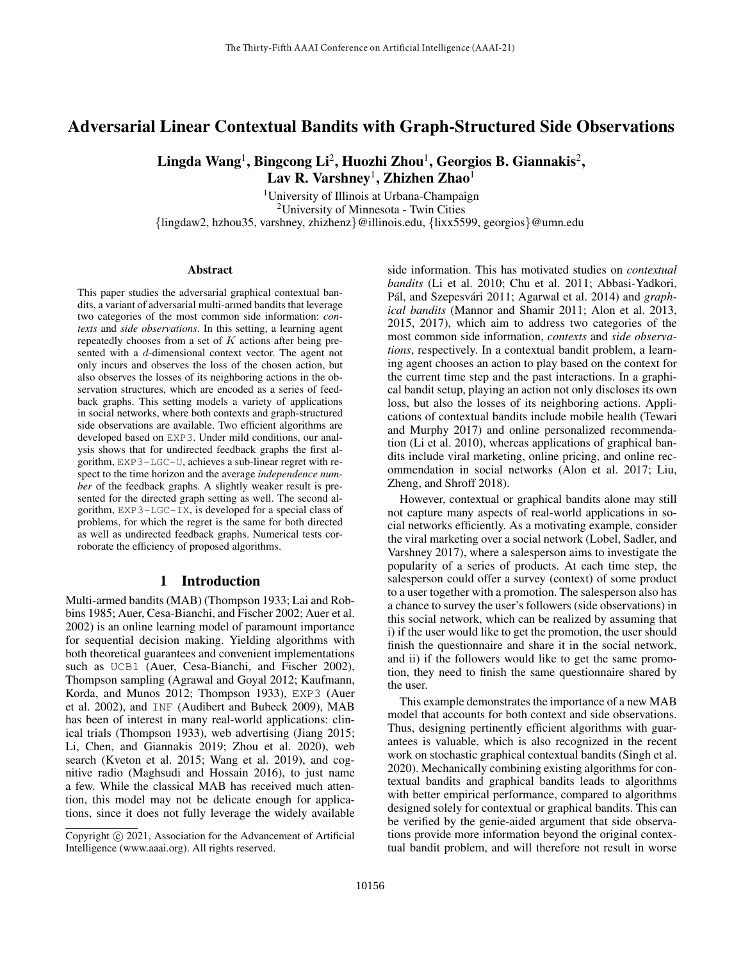# Adversarial Linear Contextual Bandits with Graph-Structured Side Observations

Lingda Wang<sup>1</sup>, Bingcong Li<sup>2</sup>, Huozhi Zhou<sup>1</sup>, Georgios B. Giannakis<sup>2</sup>,  $\rm\,Lav\,R.~Varshney^{1},$  Zhizhen Zhao $^{1}$ 

<sup>1</sup>University of Illinois at Urbana-Champaign <sup>2</sup>University of Minnesota - Twin Cities {lingdaw2, hzhou35, varshney, zhizhenz}@illinois.edu, {lixx5599, georgios}@umn.edu

#### Abstract

This paper studies the adversarial graphical contextual bandits, a variant of adversarial multi-armed bandits that leverage two categories of the most common side information: *contexts* and *side observations*. In this setting, a learning agent repeatedly chooses from a set of  $K$  actions after being presented with a d-dimensional context vector. The agent not only incurs and observes the loss of the chosen action, but also observes the losses of its neighboring actions in the observation structures, which are encoded as a series of feedback graphs. This setting models a variety of applications in social networks, where both contexts and graph-structured side observations are available. Two efficient algorithms are developed based on EXP3. Under mild conditions, our analysis shows that for undirected feedback graphs the first algorithm, EXP3-LGC-U, achieves a sub-linear regret with respect to the time horizon and the average *independence number* of the feedback graphs. A slightly weaker result is presented for the directed graph setting as well. The second algorithm, EXP3-LGC-IX, is developed for a special class of problems, for which the regret is the same for both directed as well as undirected feedback graphs. Numerical tests corroborate the efficiency of proposed algorithms.

# 1 Introduction

Multi-armed bandits (MAB) (Thompson 1933; Lai and Robbins 1985; Auer, Cesa-Bianchi, and Fischer 2002; Auer et al. 2002) is an online learning model of paramount importance for sequential decision making. Yielding algorithms with both theoretical guarantees and convenient implementations such as UCB1 (Auer, Cesa-Bianchi, and Fischer 2002), Thompson sampling (Agrawal and Goyal 2012; Kaufmann, Korda, and Munos 2012; Thompson 1933), EXP3 (Auer et al. 2002), and INF (Audibert and Bubeck 2009), MAB has been of interest in many real-world applications: clinical trials (Thompson 1933), web advertising (Jiang 2015; Li, Chen, and Giannakis 2019; Zhou et al. 2020), web search (Kveton et al. 2015; Wang et al. 2019), and cognitive radio (Maghsudi and Hossain 2016), to just name a few. While the classical MAB has received much attention, this model may not be delicate enough for applications, since it does not fully leverage the widely available

side information. This has motivated studies on *contextual bandits* (Li et al. 2010; Chu et al. 2011; Abbasi-Yadkori, Pál, and Szepesvári 2011; Agarwal et al. 2014) and *graphical bandits* (Mannor and Shamir 2011; Alon et al. 2013, 2015, 2017), which aim to address two categories of the most common side information, *contexts* and *side observations*, respectively. In a contextual bandit problem, a learning agent chooses an action to play based on the context for the current time step and the past interactions. In a graphical bandit setup, playing an action not only discloses its own loss, but also the losses of its neighboring actions. Applications of contextual bandits include mobile health (Tewari and Murphy 2017) and online personalized recommendation (Li et al. 2010), whereas applications of graphical bandits include viral marketing, online pricing, and online recommendation in social networks (Alon et al. 2017; Liu, Zheng, and Shroff 2018).

However, contextual or graphical bandits alone may still not capture many aspects of real-world applications in social networks efficiently. As a motivating example, consider the viral marketing over a social network (Lobel, Sadler, and Varshney 2017), where a salesperson aims to investigate the popularity of a series of products. At each time step, the salesperson could offer a survey (context) of some product to a user together with a promotion. The salesperson also has a chance to survey the user's followers (side observations) in this social network, which can be realized by assuming that i) if the user would like to get the promotion, the user should finish the questionnaire and share it in the social network, and ii) if the followers would like to get the same promotion, they need to finish the same questionnaire shared by the user.

This example demonstrates the importance of a new MAB model that accounts for both context and side observations. Thus, designing pertinently efficient algorithms with guarantees is valuable, which is also recognized in the recent work on stochastic graphical contextual bandits (Singh et al. 2020). Mechanically combining existing algorithms for contextual bandits and graphical bandits leads to algorithms with better empirical performance, compared to algorithms designed solely for contextual or graphical bandits. This can be verified by the genie-aided argument that side observations provide more information beyond the original contextual bandit problem, and will therefore not result in worse

Copyright  $\odot$  2021, Association for the Advancement of Artificial Intelligence (www.aaai.org). All rights reserved.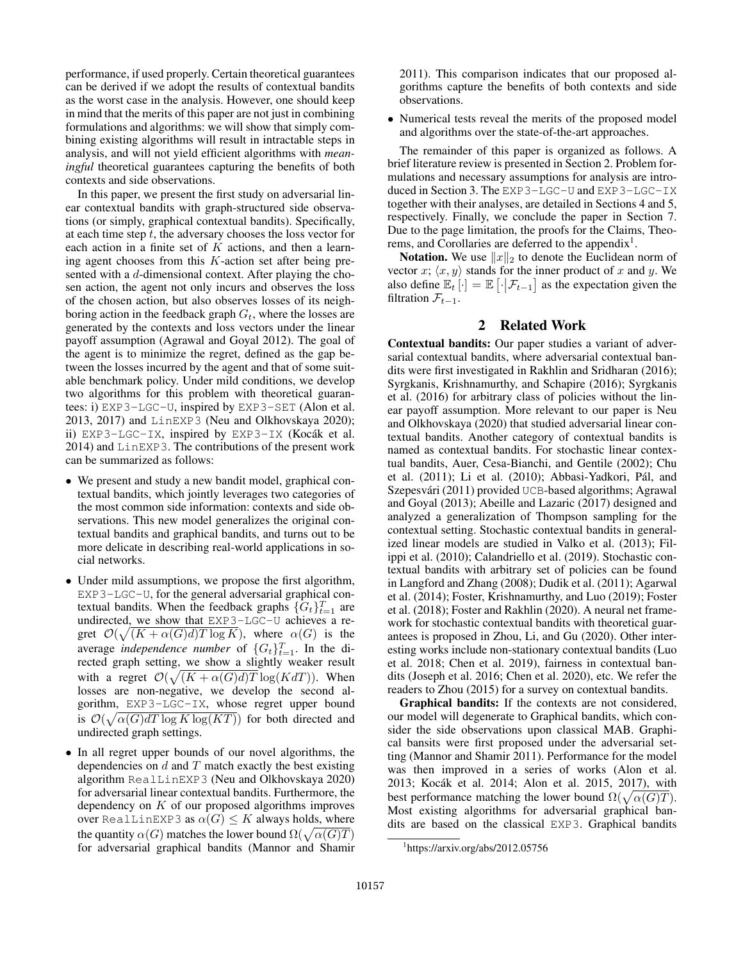performance, if used properly. Certain theoretical guarantees can be derived if we adopt the results of contextual bandits as the worst case in the analysis. However, one should keep in mind that the merits of this paper are not just in combining formulations and algorithms: we will show that simply combining existing algorithms will result in intractable steps in analysis, and will not yield efficient algorithms with *meaningful* theoretical guarantees capturing the benefits of both contexts and side observations.

In this paper, we present the first study on adversarial linear contextual bandits with graph-structured side observations (or simply, graphical contextual bandits). Specifically, at each time step  $t$ , the adversary chooses the loss vector for each action in a finite set of  $K$  actions, and then a learning agent chooses from this  $K$ -action set after being presented with a d-dimensional context. After playing the chosen action, the agent not only incurs and observes the loss of the chosen action, but also observes losses of its neighboring action in the feedback graph  $G_t$ , where the losses are generated by the contexts and loss vectors under the linear payoff assumption (Agrawal and Goyal 2012). The goal of the agent is to minimize the regret, defined as the gap between the losses incurred by the agent and that of some suitable benchmark policy. Under mild conditions, we develop two algorithms for this problem with theoretical guarantees: i) EXP3-LGC-U, inspired by EXP3-SET (Alon et al. 2013, 2017) and LinEXP3 (Neu and Olkhovskaya 2020); ii) EXP3-LGC-IX, inspired by EXP3-IX (Kocák et al. 2014) and LinEXP3. The contributions of the present work can be summarized as follows:

- We present and study a new bandit model, graphical contextual bandits, which jointly leverages two categories of the most common side information: contexts and side observations. This new model generalizes the original contextual bandits and graphical bandits, and turns out to be more delicate in describing real-world applications in social networks.
- Under mild assumptions, we propose the first algorithm, EXP3-LGC-U, for the general adversarial graphical contextual bandits. When the feedback graphs  $\{G_t\}_{t=1}^T$  are undirected, we show that EXP3-LGC-U achieves a regret  $\mathcal{O}(\sqrt{(K+\alpha(G)d)T \log K})$ , where  $\alpha(G)$  is the average *independence number* of  $\{G_t\}_{t=1}^T$ . In the directed graph setting, we show a slightly weaker result with a regret  $\mathcal{O}(\sqrt{(K + \alpha(G)d)T} \log(KdT))$ . When losses are non-negative, we develop the second algorithm, EXP3-LGC-IX, whose regret upper bound is  $\mathcal{O}(\sqrt{\alpha(G)dT \log K \log (KT)})$  for both directed and undirected graph settings.
- In all regret upper bounds of our novel algorithms, the dependencies on  $d$  and  $T$  match exactly the best existing algorithm RealLinEXP3 (Neu and Olkhovskaya 2020) for adversarial linear contextual bandits. Furthermore, the dependency on  $K$  of our proposed algorithms improves over RealLinEXP3 as  $\alpha(G) \leq K$  always holds, where the quantity  $\alpha(G)$  matches the lower bound  $\Omega(\sqrt{\alpha(G)T})$ for adversarial graphical bandits (Mannor and Shamir

2011). This comparison indicates that our proposed algorithms capture the benefits of both contexts and side observations.

• Numerical tests reveal the merits of the proposed model and algorithms over the state-of-the-art approaches.

The remainder of this paper is organized as follows. A brief literature review is presented in Section 2. Problem formulations and necessary assumptions for analysis are introduced in Section 3. The EXP3-LGC-U and EXP3-LGC-IX together with their analyses, are detailed in Sections 4 and 5, respectively. Finally, we conclude the paper in Section 7. Due to the page limitation, the proofs for the Claims, Theorems, and Corollaries are deferred to the appendix<sup>1</sup>.

**Notation.** We use  $||x||_2$  to denote the Euclidean norm of vector x;  $\langle x, y \rangle$  stands for the inner product of x and y. We also define  $\mathbb{E}_t[\cdot] = \mathbb{E}[\cdot | \mathcal{F}_{t-1}]$  as the expectation given the filtration  $\mathcal{F}_{t-1}$ .

# 2 Related Work

Contextual bandits: Our paper studies a variant of adversarial contextual bandits, where adversarial contextual bandits were first investigated in Rakhlin and Sridharan (2016); Syrgkanis, Krishnamurthy, and Schapire (2016); Syrgkanis et al. (2016) for arbitrary class of policies without the linear payoff assumption. More relevant to our paper is Neu and Olkhovskaya (2020) that studied adversarial linear contextual bandits. Another category of contextual bandits is named as contextual bandits. For stochastic linear contextual bandits, Auer, Cesa-Bianchi, and Gentile (2002); Chu et al. (2011); Li et al. (2010); Abbasi-Yadkori, Pál, and Szepesvári (2011) provided UCB-based algorithms; Agrawal and Goyal (2013); Abeille and Lazaric (2017) designed and analyzed a generalization of Thompson sampling for the contextual setting. Stochastic contextual bandits in generalized linear models are studied in Valko et al. (2013); Filippi et al. (2010); Calandriello et al. (2019). Stochastic contextual bandits with arbitrary set of policies can be found in Langford and Zhang (2008); Dudik et al. (2011); Agarwal et al. (2014); Foster, Krishnamurthy, and Luo (2019); Foster et al. (2018); Foster and Rakhlin (2020). A neural net framework for stochastic contextual bandits with theoretical guarantees is proposed in Zhou, Li, and Gu (2020). Other interesting works include non-stationary contextual bandits (Luo et al. 2018; Chen et al. 2019), fairness in contextual bandits (Joseph et al. 2016; Chen et al. 2020), etc. We refer the readers to Zhou (2015) for a survey on contextual bandits.

Graphical bandits: If the contexts are not considered, our model will degenerate to Graphical bandits, which consider the side observations upon classical MAB. Graphical bansits were first proposed under the adversarial setting (Mannor and Shamir 2011). Performance for the model was then improved in a series of works (Alon et al. 2013; Kocak et al. 2014; Alon et al. 2015, 2017), with ´ best performance matching the lower bound  $\Omega(\sqrt{\alpha(G)T})$ . Most existing algorithms for adversarial graphical bandits are based on the classical EXP3. Graphical bandits

<sup>1</sup> https://arxiv.org/abs/2012.05756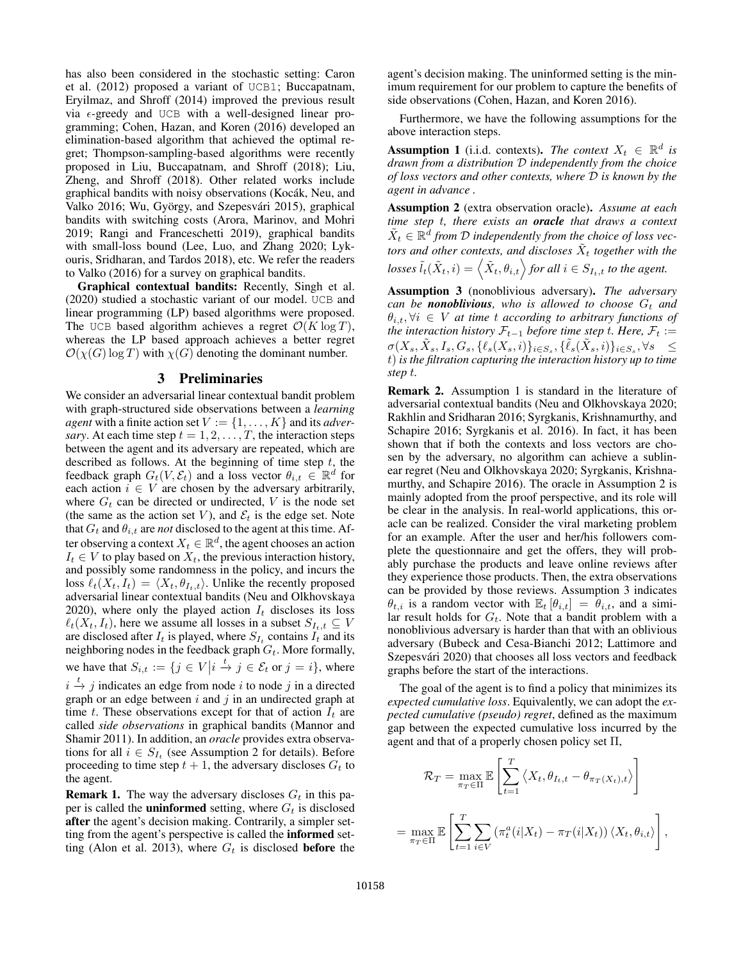has also been considered in the stochastic setting: Caron et al. (2012) proposed a variant of UCB1; Buccapatnam, Eryilmaz, and Shroff (2014) improved the previous result via  $\epsilon$ -greedy and UCB with a well-designed linear programming; Cohen, Hazan, and Koren (2016) developed an elimination-based algorithm that achieved the optimal regret; Thompson-sampling-based algorithms were recently proposed in Liu, Buccapatnam, and Shroff (2018); Liu, Zheng, and Shroff (2018). Other related works include graphical bandits with noisy observations (Kocák, Neu, and Valko 2016; Wu, György, and Szepesvári 2015), graphical bandits with switching costs (Arora, Marinov, and Mohri 2019; Rangi and Franceschetti 2019), graphical bandits with small-loss bound (Lee, Luo, and Zhang 2020; Lykouris, Sridharan, and Tardos 2018), etc. We refer the readers to Valko (2016) for a survey on graphical bandits.

Graphical contextual bandits: Recently, Singh et al. (2020) studied a stochastic variant of our model. UCB and linear programming (LP) based algorithms were proposed. The UCB based algorithm achieves a regret  $\mathcal{O}(K \log T)$ , whereas the LP based approach achieves a better regret  $\mathcal{O}(\chi(G) \log T)$  with  $\chi(G)$  denoting the dominant number.

### 3 Preliminaries

We consider an adversarial linear contextual bandit problem with graph-structured side observations between a *learning agent* with a finite action set  $V := \{1, \ldots, K\}$  and its *adversary*. At each time step  $t = 1, 2, \dots, T$ , the interaction steps between the agent and its adversary are repeated, which are described as follows. At the beginning of time step  $t$ , the feedback graph  $G_t(V, \mathcal{E}_t)$  and a loss vector  $\theta_{i,t} \in \mathbb{R}^d$  for each action  $i \in V$  are chosen by the adversary arbitrarily, where  $G_t$  can be directed or undirected, V is the node set (the same as the action set V), and  $\mathcal{E}_t$  is the edge set. Note that  $G_t$  and  $\theta_{i,t}$  are *not* disclosed to the agent at this time. After observing a context  $X_t \in \mathbb{R}^d$ , the agent chooses an action  $I_t \in V$  to play based on  $X_t$ , the previous interaction history, and possibly some randomness in the policy, and incurs the loss  $\ell_t(X_t, I_t) = \langle X_t, \theta_{I_t,t} \rangle$ . Unlike the recently proposed adversarial linear contextual bandits (Neu and Olkhovskaya 2020), where only the played action  $I_t$  discloses its loss  $\ell_t(X_t, I_t)$ , here we assume all losses in a subset  $S_{I_t,t} \subseteq V$ are disclosed after  $I_t$  is played, where  $S_{I_t}$  contains  $I_t$  and its neighboring nodes in the feedback graph  $G_t$ . More formally, we have that  $S_{i,t} := \{ j \in V \middle| i \stackrel{t}{\to} j \in \mathcal{E}_t \text{ or } j = i \},\$  where  $i \stackrel{t}{\rightarrow} j$  indicates an edge from node i to node j in a directed

graph or an edge between  $i$  and  $j$  in an undirected graph at time t. These observations except for that of action  $I_t$  are called *side observations* in graphical bandits (Mannor and Shamir 2011). In addition, an *oracle* provides extra observations for all  $i \in S_{I_t}$  (see Assumption 2 for details). Before proceeding to time step  $t + 1$ , the adversary discloses  $G_t$  to the agent.

**Remark 1.** The way the adversary discloses  $G_t$  in this paper is called the **uninformed** setting, where  $G_t$  is disclosed after the agent's decision making. Contrarily, a simpler setting from the agent's perspective is called the informed setting (Alon et al. 2013), where  $G_t$  is disclosed **before** the agent's decision making. The uninformed setting is the minimum requirement for our problem to capture the benefits of side observations (Cohen, Hazan, and Koren 2016).

Furthermore, we have the following assumptions for the above interaction steps.

**Assumption 1** (i.i.d. contexts). *The context*  $X_t \in \mathbb{R}^d$  is *drawn from a distribution* D *independently from the choice of loss vectors and other contexts, where* D *is known by the agent in advance .*

Assumption 2 (extra observation oracle). *Assume at each time step* t*, there exists an oracle that draws a context*  $\tilde{X}_t \in \mathbb{R}^{\overline{d}}$  from  $\mathcal D$  independently from the choice of loss vectors and other contexts, and discloses  $\tilde{X}_t$  together with the  $losses \tilde{l}_t(\tilde{X}_t, i) = \left< \tilde{X}_t, \theta_{i,t} \right>$  for all  $i \in S_{I_t,t}$  to the agent.

Assumption 3 (nonoblivious adversary). *The adversary can be nonoblivious, who is allowed to choose*  $G_t$  *and*  $\theta_{i,t}, \forall i \in V$  *at time t according to arbitrary functions of the interaction history*  $\mathcal{F}_{t-1}$  *before time step t. Here,*  $\mathcal{F}_t :=$  $\sigma(X_s, \tilde X_s, I_s, G_s, \{\ell_s(X_s, i)\}_{i\in S_s}, \{\tilde \ell_s(\tilde X_s, i)\}_{i\in S_s}, \forall s \quad\leq$ t) *is the filtration capturing the interaction history up to time step* t*.*

Remark 2. Assumption 1 is standard in the literature of adversarial contextual bandits (Neu and Olkhovskaya 2020; Rakhlin and Sridharan 2016; Syrgkanis, Krishnamurthy, and Schapire 2016; Syrgkanis et al. 2016). In fact, it has been shown that if both the contexts and loss vectors are chosen by the adversary, no algorithm can achieve a sublinear regret (Neu and Olkhovskaya 2020; Syrgkanis, Krishnamurthy, and Schapire 2016). The oracle in Assumption 2 is mainly adopted from the proof perspective, and its role will be clear in the analysis. In real-world applications, this oracle can be realized. Consider the viral marketing problem for an example. After the user and her/his followers complete the questionnaire and get the offers, they will probably purchase the products and leave online reviews after they experience those products. Then, the extra observations can be provided by those reviews. Assumption 3 indicates  $\theta_{t,i}$  is a random vector with  $\mathbb{E}_t [\theta_{i,t}] = \theta_{i,t}$ , and a similar result holds for  $G_t$ . Note that a bandit problem with a nonoblivious adversary is harder than that with an oblivious adversary (Bubeck and Cesa-Bianchi 2012; Lattimore and Szepesvári 2020) that chooses all loss vectors and feedback graphs before the start of the interactions.

The goal of the agent is to find a policy that minimizes its *expected cumulative loss*. Equivalently, we can adopt the *expected cumulative (pseudo) regret*, defined as the maximum gap between the expected cumulative loss incurred by the agent and that of a properly chosen policy set  $\Pi$ ,

$$
\mathcal{R}_T = \max_{\pi_T \in \Pi} \mathbb{E} \left[ \sum_{t=1}^T \left\langle X_t, \theta_{I_t, t} - \theta_{\pi_T(X_t), t} \right\rangle \right]
$$

$$
= \max_{\pi_T \in \Pi} \mathbb{E} \left[ \sum_{t=1}^T \sum_{i \in V} \left( \pi_t^a(i|X_t) - \pi_T(i|X_t) \right) \left\langle X_t, \theta_{i,t} \right\rangle \right],
$$

 $=$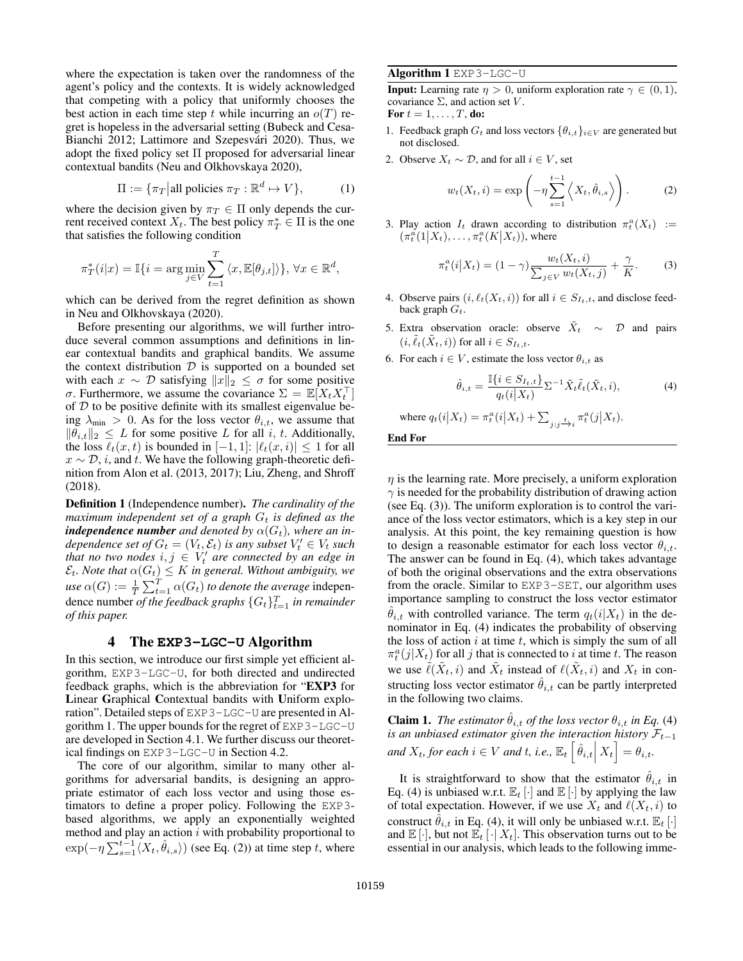where the expectation is taken over the randomness of the agent's policy and the contexts. It is widely acknowledged that competing with a policy that uniformly chooses the best action in each time step t while incurring an  $o(T)$  regret is hopeless in the adversarial setting (Bubeck and Cesa-Bianchi 2012; Lattimore and Szepesvári 2020). Thus, we adopt the fixed policy set Π proposed for adversarial linear contextual bandits (Neu and Olkhovskaya 2020),

$$
\Pi := \{ \pi_T | \text{all policies } \pi_T : \mathbb{R}^d \mapsto V \},\tag{1}
$$

where the decision given by  $\pi_T \in \Pi$  only depends the current received context  $X_t$ . The best policy  $\pi^*_T \in \Pi$  is the one that satisfies the following condition

$$
\pi_T^*(i|x) = \mathbb{I}\{i = \arg\min_{j \in V} \sum_{t=1}^T \langle x, \mathbb{E}[\theta_{j,t}] \rangle\}, \forall x \in \mathbb{R}^d,
$$

which can be derived from the regret definition as shown in Neu and Olkhovskaya (2020).

Before presenting our algorithms, we will further introduce several common assumptions and definitions in linear contextual bandits and graphical bandits. We assume the context distribution  $D$  is supported on a bounded set with each  $x \sim \mathcal{D}$  satisfying  $||x||_2 \leq \sigma$  for some positive σ. Furthermore, we assume the covariance  $\Sigma = \mathbb{E}[X_t X_t^\top]$ of  $D$  to be positive definite with its smallest eigenvalue being  $\lambda_{\min} > 0$ . As for the loss vector  $\theta_{i,t}$ , we assume that  $\|\tilde{\theta}_{i,t}\|_2 \leq L$  for some positive L for all i, t. Additionally, the loss  $\ell_t(x, t)$  is bounded in  $[-1, 1]$ :  $|\ell_t(x, i)| \leq 1$  for all  $x \sim \mathcal{D}$ , *i*, and *t*. We have the following graph-theoretic definition from Alon et al. (2013, 2017); Liu, Zheng, and Shroff (2018).

Definition 1 (Independence number). *The cardinality of the maximum independent set of a graph*  $G_t$  *is defined as the independence number and denoted by*  $\alpha(G_t)$ *, where an independence set of*  $G_t = (V_t, \mathcal{E}_t)$  *is any subset*  $V'_t \in V_t$  *such that no two nodes*  $i, j \in V_t'$  *are connected by an edge in*  $\mathcal{E}_t$ *. Note that*  $\alpha(G_t) \leq K$  *in general. Without ambiguity, we use*  $\alpha(G) := \frac{1}{T} \sum_{t=1}^{T} \alpha(G_t)$  *to denote the average* independence number *of the feedback graphs*  $\{G_t\}_{t=1}^T$  *in remainder of this paper.*

### 4 The **EXP3-LGC-U** Algorithm

In this section, we introduce our first simple yet efficient algorithm, EXP3-LGC-U, for both directed and undirected feedback graphs, which is the abbreviation for "EXP3 for Linear Graphical Contextual bandits with Uniform exploration". Detailed steps of EXP3-LGC-U are presented in Algorithm 1. The upper bounds for the regret of EXP3-LGC-U are developed in Section 4.1. We further discuss our theoretical findings on EXP3-LGC-U in Section 4.2.

The core of our algorithm, similar to many other algorithms for adversarial bandits, is designing an appropriate estimator of each loss vector and using those estimators to define a proper policy. Following the EXP3 based algorithms, we apply an exponentially weighted method and play an action  $i$  with probability proportional to  $\exp(-\eta \sum_{s=1}^{t-1} \langle X_t, \hat{\theta}_{i,s} \rangle)$  (see Eq. (2)) at time step t, where

#### Algorithm 1 EXP3-LGC-U

**Input:** Learning rate  $\eta > 0$ , uniform exploration rate  $\gamma \in (0, 1)$ , covariance  $\Sigma$ , and action set V. For  $t = 1, \ldots, T$ , do:

- 1. Feedback graph  $G_t$  and loss vectors  $\{\theta_{i,t}\}_{i\in V}$  are generated but not disclosed.
- 2. Observe  $X_t \sim \mathcal{D}$ , and for all  $i \in V$ , set

$$
w_t(X_t, i) = \exp\left(-\eta \sum_{s=1}^{t-1} \left\langle X_t, \hat{\theta}_{i,s} \right\rangle\right).
$$
 (2)

3. Play action  $I_t$  drawn according to distribution  $\pi_t^a(X_t) :=$  $(\pi_t^a(1|X_t), \ldots, \pi_t^a(K|X_t)),$  where

$$
\pi_t^a(i|X_t) = (1-\gamma) \frac{w_t(X_t, i)}{\sum_{j \in V} w_t(X_t, j)} + \frac{\gamma}{K}.
$$
 (3)

- 4. Observe pairs  $(i, \ell_t(X_t, i))$  for all  $i \in S_{I_t, t}$ , and disclose feedback graph  $G_t$ .
- 5. Extra observation oracle: observe  $\tilde{X}_t \sim \mathcal{D}$  and pairs  $(i, \tilde{\ell}_t(\tilde{X}_t, i))$  for all  $i \in S_{I_t,t}$ .
- 6. For each  $i \in V$ , estimate the loss vector  $\theta_{i,t}$  as

$$
\hat{\theta}_{i,t} = \frac{\mathbb{I}\{i \in S_{I_t,t}\}}{q_t(i|X_t)} \Sigma^{-1} \tilde{X}_t \tilde{\ell}_t(\tilde{X}_t, i), \tag{4}
$$

where 
$$
q_t(i|X_t) = \pi_t^a(i|X_t) + \sum_{j:j \to i} \pi_t^a(j|X_t)
$$
.

End For

 $\eta$  is the learning rate. More precisely, a uniform exploration  $\gamma$  is needed for the probability distribution of drawing action (see Eq. (3)). The uniform exploration is to control the variance of the loss vector estimators, which is a key step in our analysis. At this point, the key remaining question is how to design a reasonable estimator for each loss vector  $\theta_{i,t}$ . The answer can be found in Eq. (4), which takes advantage of both the original observations and the extra observations from the oracle. Similar to EXP3-SET, our algorithm uses importance sampling to construct the loss vector estimator  $\hat{\theta}_{i,t}$  with controlled variance. The term  $q_t(i|X_t)$  in the denominator in Eq. (4) indicates the probability of observing the loss of action  $i$  at time  $t$ , which is simply the sum of all  $\pi_t^a(j|X_t)$  for all j that is connected to i at time t. The reason we use  $\tilde{\ell}(\tilde{X}_t, i)$  and  $\tilde{X}_t$  instead of  $\ell(\tilde{X}_t, i)$  and  $X_t$  in constructing loss vector estimator  $\hat{\theta}_{i,t}$  can be partly interpreted in the following two claims.

**Claim 1.** *The estimator*  $\hat{\theta}_{i,t}$  *of the loss vector*  $\theta_{i,t}$  *in Eq.* (4) *is an unbiased estimator given the interaction history*  $\mathcal{F}_{t-1}$ and  $X_t$ , for each  $i \in V$  and  $t$ , i.e.,  $\mathbb{E}_t \left[ \hat{\theta}_{i,t} \Big| X_t \right] = \theta_{i,t}.$ 

It is straightforward to show that the estimator  $\hat{\theta}_{i,t}$  in Eq. (4) is unbiased w.r.t.  $\mathbb{E}_t[\cdot]$  and  $\mathbb{E}[\cdot]$  by applying the law of total expectation. However, if we use  $X_t$  and  $\ell(X_t, i)$  to construct  $\hat{\theta}_{i,t}$  in Eq. (4), it will only be unbiased w.r.t.  $\mathbb{E}_t$  [·] and  $\mathbb{E}[\cdot]$ , but not  $\mathbb{E}_t[\cdot|X_t]$ . This observation turns out to be essential in our analysis, which leads to the following imme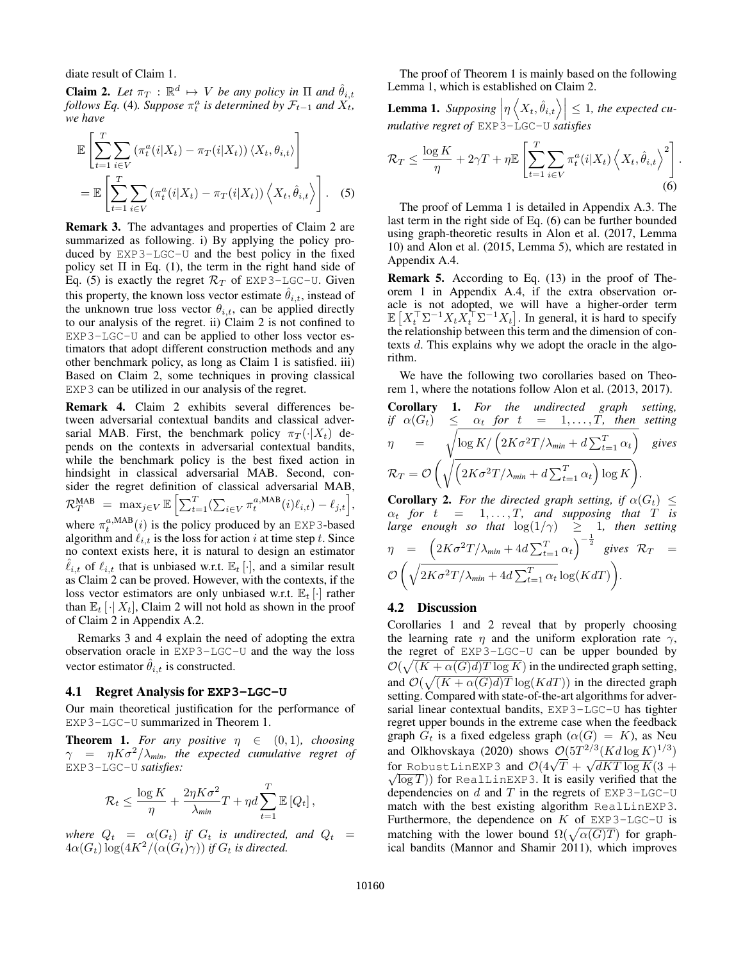diate result of Claim 1.

**Claim 2.** Let  $\pi_T : \mathbb{R}^d \mapsto V$  be any policy in  $\Pi$  and  $\hat{\theta}_{i,t}$ *follows Eq.* (4)*. Suppose*  $\pi_t^a$  *is determined by*  $\mathcal{F}_{t-1}$  *and*  $X_t$ *, we have*

$$
\mathbb{E}\left[\sum_{t=1}^{T}\sum_{i\in V}(\pi_{t}^{a}(i|X_{t}) - \pi_{T}(i|X_{t}))\langle X_{t}, \theta_{i,t}\rangle\right]
$$
\n
$$
= \mathbb{E}\left[\sum_{t=1}^{T}\sum_{i\in V}(\pi_{t}^{a}(i|X_{t}) - \pi_{T}(i|X_{t}))\langle X_{t}, \hat{\theta}_{i,t}\rangle\right].
$$
\n(5)

Remark 3. The advantages and properties of Claim 2 are summarized as following. i) By applying the policy produced by EXP3-LGC-U and the best policy in the fixed policy set  $\Pi$  in Eq. (1), the term in the right hand side of Eq. (5) is exactly the regret  $\mathcal{R}_T$  of EXP3-LGC-U. Given this property, the known loss vector estimate  $\hat{\theta}_{i,t}$ , instead of the unknown true loss vector  $\theta_{i,t}$ , can be applied directly to our analysis of the regret. ii) Claim 2 is not confined to EXP3-LGC-U and can be applied to other loss vector estimators that adopt different construction methods and any other benchmark policy, as long as Claim 1 is satisfied. iii) Based on Claim 2, some techniques in proving classical EXP3 can be utilized in our analysis of the regret.

Remark 4. Claim 2 exhibits several differences between adversarial contextual bandits and classical adversarial MAB. First, the benchmark policy  $\pi_T(\cdot|X_t)$  depends on the contexts in adversarial contextual bandits, while the benchmark policy is the best fixed action in hindsight in classical adversarial MAB. Second, consider the regret definition of classical adversarial MAB,  $\mathcal{R}_T^{\text{MAB}} = \max_{j \in V} \mathbb{E} \left[ \sum_{t=1}^T (\sum_{i \in V} \pi_t^{a,\text{MAB}}(i) \ell_{i,t}) - \ell_{j,t} \right],$ where  $\pi_t^{a, \text{MAB}}(i)$  is the policy produced by an EXP3-based algorithm and  $\ell_{i,t}$  is the loss for action i at time step t. Since no context exists here, it is natural to design an estimator  $\ell_{i,t}$  of  $\ell_{i,t}$  that is unbiased w.r.t.  $\mathbb{E}_t [\cdot]$ , and a similar result as Claim 2 can be proved. However, with the contexts, if the loss vector estimators are only unbiased w.r.t.  $\mathbb{E}_t[\cdot]$  rather than  $\mathbb{E}_t[\cdot|X_t]$ , Claim 2 will not hold as shown in the proof of Claim 2 in Appendix A.2.

Remarks 3 and 4 explain the need of adopting the extra observation oracle in EXP3-LGC-U and the way the loss vector estimator  $\hat{\theta}_{i,t}$  is constructed.

#### 4.1 Regret Analysis for **EXP3-LGC-U**

Our main theoretical justification for the performance of EXP3-LGC-U summarized in Theorem 1.

**Theorem 1.** For any positive  $\eta \in (0,1)$ , choosing  $\gamma$  =  $\eta K \sigma^2 / \lambda_{min}$ , the expected cumulative regret of EXP3-LGC-U *satisfies:*

$$
\mathcal{R}_t \le \frac{\log K}{\eta} + \frac{2\eta K\sigma^2}{\lambda_{\min}}T + \eta d \sum_{t=1}^T \mathbb{E}\left[Q_t\right],
$$

*where*  $Q_t = \alpha(G_t)$  *if*  $G_t$  *is undirected, and*  $Q_t =$  $4\alpha(G_t) \log(4K^2/(\alpha(G_t)\gamma))$  *if*  $G_t$  *is directed.* 

The proof of Theorem 1 is mainly based on the following Lemma 1, which is established on Claim 2.

**Lemma 1.** Supposing  $\left|\eta \left(X_t, \hat{\theta}_{i,t}\right)\right| \leq 1$ , the expected cu-<br>mulative regret of EXP3-LGC-U satisfies

$$
\mathcal{R}_T \le \frac{\log K}{\eta} + 2\gamma T + \eta \mathbb{E} \left[ \sum_{t=1}^T \sum_{i \in V} \pi_t^a(i|X_t) \left\langle X_t, \hat{\theta}_{i,t} \right\rangle^2 \right]
$$
\n(6)

.

The proof of Lemma 1 is detailed in Appendix A.3. The last term in the right side of Eq. (6) can be further bounded using graph-theoretic results in Alon et al. (2017, Lemma 10) and Alon et al. (2015, Lemma 5), which are restated in Appendix A.4.

Remark 5. According to Eq. (13) in the proof of Theorem 1 in Appendix A.4, if the extra observation oracle is not adopted, we will have a higher-order term  $\mathbb{E}\left[X_t^\top \Sigma^{-1} X_t X_t^\top \Sigma^{-1} X_t\right]$ . In general, it is hard to specify the relationship between this term and the dimension of contexts d. This explains why we adopt the oracle in the algorithm.

We have the following two corollaries based on Theorem 1, where the notations follow Alon et al. (2013, 2017).

**Corollary 1.** For the undirected graph setting,  
if 
$$
\alpha(G_t) \leq \alpha_t
$$
 for  $t = 1,...,T$ , then setting  

$$
\eta = \sqrt{\log K / (2K\sigma^2 T / \lambda_{min} + d \sum_{t=1}^T \alpha_t)} \text{ gives}
$$

$$
\mathcal{R}_T = \mathcal{O}\left(\sqrt{\left(2K\sigma^2 T / \lambda_{min} + d \sum_{t=1}^T \alpha_t\right) \log K}\right).
$$

**Corollary 2.** *For the directed graph setting, if*  $\alpha(G_t) \leq$  $\alpha_t$  for  $t = 1, \ldots, T$ , and supposing that T is *large enough so that*  $\log(1/\gamma) \geq 1$ , *then setting*  $\eta = \left(2K\sigma^2T/\lambda_{min} + 4d\sum_{t=1}^T\alpha_t\right)^{-\frac{1}{2}}$  gives  $\mathcal{R}_T =$  $\mathcal{O}\left(\sqrt{2K\sigma^2T/\lambda_{min}+4d\sum_{t=1}^T\alpha_t}\log(KdT)\right)$ .

# 4.2 Discussion

Corollaries 1 and 2 reveal that by properly choosing the learning rate  $\eta$  and the uniform exploration rate  $\gamma$ , the regret of EXP3-LGC-U can be upper bounded by  $\mathcal{O}(\sqrt{(K + \alpha(G)d)T \log K})$  in the undirected graph setting, and  $\mathcal{O}(\sqrt{(K+\alpha(G)d)T}\log(KdT))$  in the directed graph setting. Compared with state-of-the-art algorithms for adversarial linear contextual bandits, EXP3-LGC-U has tighter regret upper bounds in the extreme case when the feedback graph  $G_t$  is a fixed edgeless graph  $(\alpha(G) = K)$ , as Neu and Olkhovskaya (2020) shows  $\mathcal{O}(5T^{2/3}(Kd\log K)^{1/3})$ and OIKHOVSKaya (2020) SHOWS  $C(3I'') (R d \log K)'$ <br>for RobustLinEXP3 and  $O(4\sqrt{T} + \sqrt{dKT \log K}(3 +$  $\sqrt{\log T}$ ) for RealLinEXP3. It is easily verified that the dependencies on  $d$  and  $T$  in the regrets of EXP3-LGC-U match with the best existing algorithm RealLinEXP3. Furthermore, the dependence on  $K$  of EXP3-LGC-U is matching with the lower bound  $\Omega(\sqrt{\alpha(G)T})$  for graphical bandits (Mannor and Shamir 2011), which improves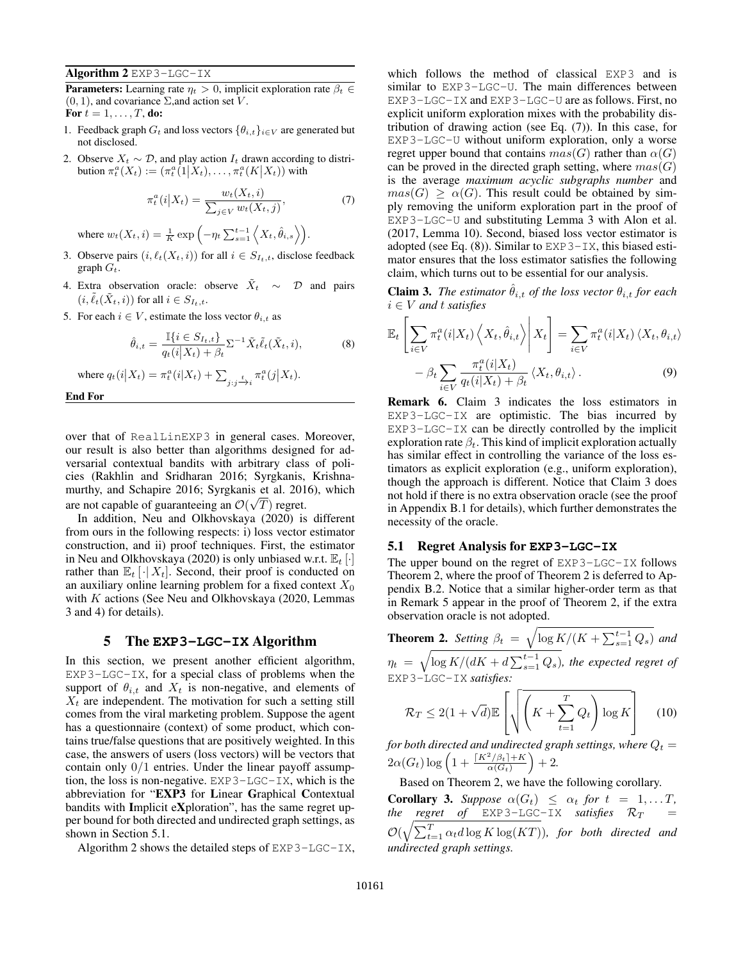Algorithm 2 EXP3-LGC-IX

**Parameters:** Learning rate  $\eta_t > 0$ , implicit exploration rate  $\beta_t \in$  $(0, 1)$ , and covariance  $\Sigma$ , and action set V. For  $t = 1, \ldots, T$ , do:

- 1. Feedback graph  $G_t$  and loss vectors  $\{\theta_{i,t}\}_{i\in V}$  are generated but not disclosed.
- 2. Observe  $X_t \sim \mathcal{D}$ , and play action  $I_t$  drawn according to distribution  $\pi_t^a(X_t) := (\pi_t^a(1 \mid X_t), \ldots, \pi_t^a(K \mid X_t))$  with

$$
\pi_t^a(i|X_t) = \frac{w_t(X_t, i)}{\sum_{j \in V} w_t(X_t, j)},\tag{7}
$$

where  $w_t(X_t, i) = \frac{1}{K} \exp \left(-\eta_t \sum_{s=1}^{t-1} \left\langle X_t, \hat{\theta}_{i,s} \right\rangle \right)$ .

- 3. Observe pairs  $(i, \ell_t(X_t, i))$  for all  $i \in S_{I_t, t}$ , disclose feedback graph  $G_t$ .
- 4. Extra observation oracle: observe  $\tilde{X}_t \sim \mathcal{D}$  and pairs  $(i, \ell_t(X_t, i))$  for all  $i \in S_{I_t, t}$ .
- 5. For each  $i \in V$ , estimate the loss vector  $\theta_{i,t}$  as

$$
\hat{\theta}_{i,t} = \frac{\mathbb{I}\{i \in S_{I_t,t}\}}{q_t(i|X_t) + \beta_t} \Sigma^{-1} \tilde{X}_t \tilde{\ell}_t(\tilde{X}_t, i),
$$
\n(8)

where  $q_t(i|X_t) = \pi_t^a(i|X_t) + \sum_{j:j \to i} \pi_t^a(j|X_t)$ .

End For

over that of RealLinEXP3 in general cases. Moreover, our result is also better than algorithms designed for adversarial contextual bandits with arbitrary class of policies (Rakhlin and Sridharan 2016; Syrgkanis, Krishnamurthy, and Schapire 2016; Syrgkanis et al. 2016), which are not capable of guaranteeing an  $\mathcal{O}(\sqrt{T})$  regret.

In addition, Neu and Olkhovskaya (2020) is different from ours in the following respects: i) loss vector estimator construction, and ii) proof techniques. First, the estimator in Neu and Olkhovskaya (2020) is only unbiased w.r.t.  $\mathbb{E}_t$  [·] rather than  $\mathbb{E}_t \left[ \cdot | X_t \right]$ . Second, their proof is conducted on an auxiliary online learning problem for a fixed context  $X_0$ with  $K$  actions (See Neu and Olkhovskaya (2020, Lemmas 3 and 4) for details).

### 5 The **EXP3-LGC-IX** Algorithm

In this section, we present another efficient algorithm, EXP3-LGC-IX, for a special class of problems when the support of  $\theta_{i,t}$  and  $X_t$  is non-negative, and elements of  $X_t$  are independent. The motivation for such a setting still comes from the viral marketing problem. Suppose the agent has a questionnaire (context) of some product, which contains true/false questions that are positively weighted. In this case, the answers of users (loss vectors) will be vectors that contain only  $0/1$  entries. Under the linear payoff assumption, the loss is non-negative. EXP3-LGC-IX, which is the abbreviation for "EXP3 for Linear Graphical Contextual bandits with Implicit eXploration", has the same regret upper bound for both directed and undirected graph settings, as shown in Section 5.1.

Algorithm 2 shows the detailed steps of EXP3-LGC-IX,

which follows the method of classical EXP3 and is similar to EXP3-LGC-U. The main differences between EXP3-LGC-IX and EXP3-LGC-U are as follows. First, no explicit uniform exploration mixes with the probability distribution of drawing action (see Eq. (7)). In this case, for EXP3-LGC-U without uniform exploration, only a worse regret upper bound that contains  $mas(G)$  rather than  $\alpha(G)$ can be proved in the directed graph setting, where  $mas(G)$ is the average *maximum acyclic subgraphs number* and  $mas(G) \geq \alpha(G)$ . This result could be obtained by simply removing the uniform exploration part in the proof of EXP3-LGC-U and substituting Lemma 3 with Alon et al. (2017, Lemma 10). Second, biased loss vector estimator is adopted (see Eq.  $(8)$ ). Similar to EXP3-IX, this biased estimator ensures that the loss estimator satisfies the following claim, which turns out to be essential for our analysis.

**Claim 3.** *The estimator*  $\hat{\theta}_{i,t}$  *of the loss vector*  $\theta_{i,t}$  *for each* i ∈ V *and* t *satisfies*

$$
\mathbb{E}_{t} \left[ \sum_{i \in V} \pi_{t}^{a}(i|X_{t}) \left\langle X_{t}, \hat{\theta}_{i,t} \right\rangle \middle| X_{t} \right] = \sum_{i \in V} \pi_{t}^{a}(i|X_{t}) \left\langle X_{t}, \theta_{i,t} \right\rangle - \beta_{t} \sum_{i \in V} \frac{\pi_{t}^{a}(i|X_{t})}{q_{t}(i|X_{t}) + \beta_{t}} \left\langle X_{t}, \theta_{i,t} \right\rangle.
$$
\n(9)

Remark 6. Claim 3 indicates the loss estimators in EXP3-LGC-IX are optimistic. The bias incurred by EXP3-LGC-IX can be directly controlled by the implicit exploration rate  $\beta_t$ . This kind of implicit exploration actually has similar effect in controlling the variance of the loss estimators as explicit exploration (e.g., uniform exploration), though the approach is different. Notice that Claim 3 does not hold if there is no extra observation oracle (see the proof in Appendix B.1 for details), which further demonstrates the necessity of the oracle.

#### 5.1 Regret Analysis for **EXP3-LGC-IX**

The upper bound on the regret of EXP3-LGC-IX follows Theorem 2, where the proof of Theorem 2 is deferred to Appendix B.2. Notice that a similar higher-order term as that in Remark 5 appear in the proof of Theorem 2, if the extra observation oracle is not adopted.

**Theorem 2.** *Setting*  $\beta_t = \sqrt{\log K/(K + \sum_{s=1}^{t-1} Q_s)}$  *and*  $\eta_t \, = \, \sqrt{\log K/(dK + d\sum_{s=1}^{t-1} Q_s)}$ , the expected regret of

EXP3-LGC-IX *satisfies:*

$$
\mathcal{R}_T \le 2(1+\sqrt{d})\mathbb{E}\left[\sqrt{\left(K + \sum_{t=1}^T Q_t\right)\log K}\right]
$$
 (10)

*for both directed and undirected graph settings, where*  $Q_t =$  $2\alpha(G_t)\log\left(1+\frac{\lceil K^2/\beta_t\rceil+K}{\alpha(G_t)}\right)+2.$ 

Based on Theorem 2, we have the following corollary.

**Corollary 3.** *Suppose*  $\alpha(G_t) \leq \alpha_t$  *for*  $t = 1, \ldots, T$ *, the regret of*  $EXP3-LGC-IX$  *satisfies*  $\mathcal{R}_T$  =  $\mathcal{O}(\sqrt{\sum_{t=1}^{T} \alpha_t d \log K \log (KT)})$ *, for both directed and undirected graph settings.*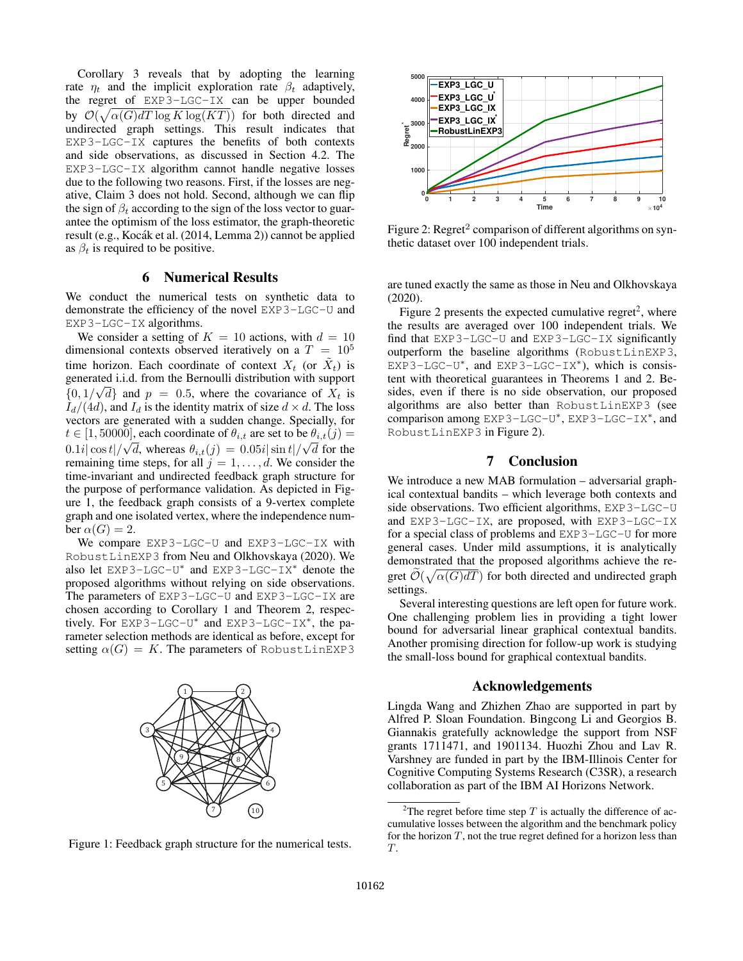Corollary 3 reveals that by adopting the learning rate  $\eta_t$  and the implicit exploration rate  $\beta_t$  adaptively, the regret of EXP3-LGC-IX can be upper bounded by  $\mathcal{O}(\sqrt{\alpha(G)dT \log K \log(KT)})$  for both directed and undirected graph settings. This result indicates that EXP3-LGC-IX captures the benefits of both contexts and side observations, as discussed in Section 4.2. The EXP3-LGC-IX algorithm cannot handle negative losses due to the following two reasons. First, if the losses are negative, Claim 3 does not hold. Second, although we can flip the sign of  $\beta_t$  according to the sign of the loss vector to guarantee the optimism of the loss estimator, the graph-theoretic result (e.g., Kocák et al. (2014, Lemma 2)) cannot be applied as  $\beta_t$  is required to be positive.

# 6 Numerical Results

We conduct the numerical tests on synthetic data to demonstrate the efficiency of the novel EXP3-LGC-U and EXP3-LGC-IX algorithms.

We consider a setting of  $K = 10$  actions, with  $d = 10$ dimensional contexts observed iteratively on a  $T = 10<sup>5</sup>$ time horizon. Each coordinate of context  $X_t$  (or  $\tilde{X}_t$ ) is generated i.i.d. from the Bernoulli distribution with support  ${0, 1/\sqrt{d}}$  and  $p = 0.5$ , where the covariance of  $X_t$  is  $I_d/(4d)$ , and  $I_d$  is the identity matrix of size  $d \times d$ . The loss vectors are generated with a sudden change. Specially, for  $t \in [1, 50000]$ , each coordinate of  $\theta_{i,t}$  are set to be  $\theta_{i,t}(j) =$  $0.1i|\cos t|/\sqrt{d}$ , whereas  $\theta_{i,t}(j) = 0.05i|\sin t|/\sqrt{d}$  for the remaining time steps, for all  $j = 1, \ldots, d$ . We consider the time-invariant and undirected feedback graph structure for the purpose of performance validation. As depicted in Figure 1, the feedback graph consists of a 9-vertex complete graph and one isolated vertex, where the independence number  $\alpha(G) = 2$ . Figure 1: Feedback graph structure for the numerical tests. **0** 11 2 3 4 4 4 6 6 7 8 1 2 3 4 4 4 5 6 7 8 1 2 3 4 4 4 4 5 7 8 1 2 4 4 4 4 4 5 7 8 1 2 4 5 7 8 1 2 4 5 7 8 1 2 4 5 1 2 4 5 7 8 1 2 4 5 1 2 4 5 7 8 1 2 4 5 1 2

We compare EXP3-LGC-U and EXP3-LGC-IX with RobustLinEXP3 from Neu and Olkhovskaya (2020). We also let  $EXP3-LGC-U^*$  and  $EXP3-LGC-X^*$  denote the proposed algorithms without relying on side observations. The parameters of EXP3-LGC-U and EXP3-LGC-IX are chosen according to Corollary 1 and Theorem 2, respectively. For EXP3-LGC-U<sup>∗</sup> and EXP3-LGC-IX<sup>∗</sup> , the parameter selection methods are identical as before, except for setting  $\alpha(G) = K$ . The parameters of RobustLinEXP3







Figure 2: Regret<sup>2</sup> comparison of different algorithms on synthetic dataset over 100 independent trials.

are tuned exactly the same as those in Neu and Olkhovskaya (2020).

Figure 2 presents the expected cumulative regret<sup>2</sup>, where the results are averaged over 100 independent trials. We find that EXP3-LGC-U and EXP3-LGC-IX significantly outperform the baseline algorithms (RobustLinEXP3, EXP3-LGC-U<sup>\*</sup>, and EXP3-LGC-IX<sup>\*</sup>), which is consistent with theoretical guarantees in Theorems 1 and 2. Besides, even if there is no side observation, our proposed algorithms are also better than RobustLinEXP3 (see comparison among EXP3-LGC-U<sup>\*</sup>, EXP3-LGC-IX<sup>\*</sup>, and RobustLinEXP3 in Figure 2).

# 7 Conclusion

We introduce a new MAB formulation – adversarial graphical contextual bandits – which leverage both contexts and side observations. Two efficient algorithms, EXP3-LGC-U and EXP3-LGC-IX, are proposed, with EXP3-LGC-IX for a special class of problems and EXP3-LGC-U for more general cases. Under mild assumptions, it is analytically demonstrated that the proposed algorithms achieve the regret  $\widetilde{\mathcal{O}}(\sqrt{\alpha(G)dT})$  for both directed and undirected graph settings.

Several interesting questions are left open for future work. One challenging problem lies in providing a tight lower bound for adversarial linear graphical contextual bandits. Another promising direction for follow-up work is studying the small-loss bound for graphical contextual bandits.

### Acknowledgements

Lingda Wang and Zhizhen Zhao are supported in part by Alfred P. Sloan Foundation. Bingcong Li and Georgios B. Giannakis gratefully acknowledge the support from NSF grants 1711471, and 1901134. Huozhi Zhou and Lav R. Varshney are funded in part by the IBM-Illinois Center for Cognitive Computing Systems Research (C3SR), a research collaboration as part of the IBM AI Horizons Network.

<sup>&</sup>lt;sup>2</sup>The regret before time step  $T$  is actually the difference of accumulative losses between the algorithm and the benchmark policy for the horizon  $T$ , not the true regret defined for a horizon less than T.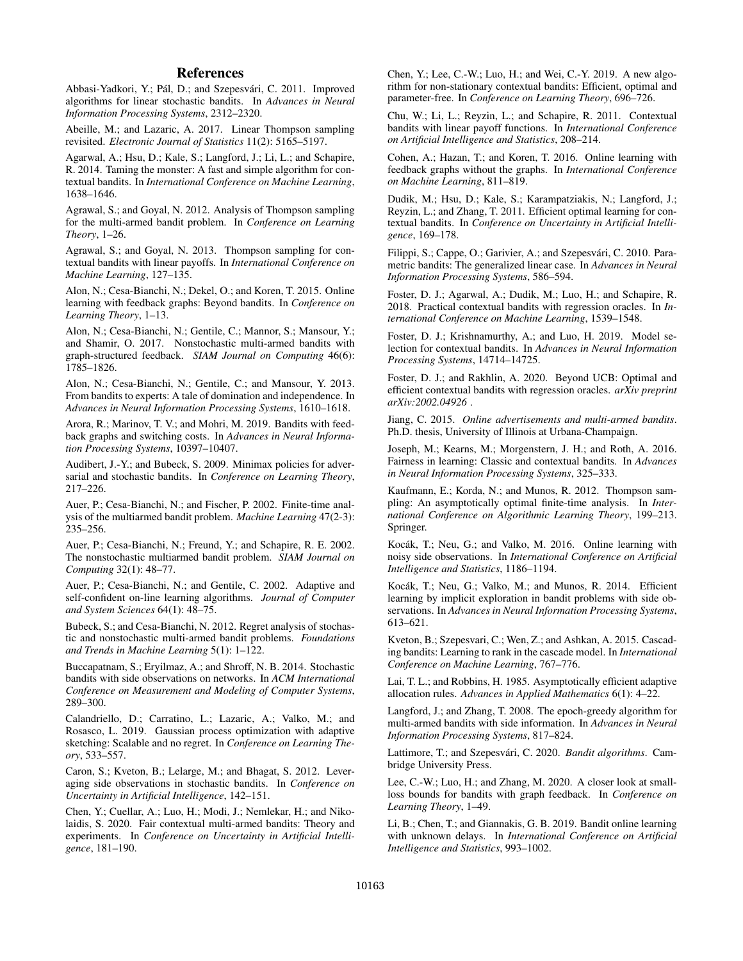# References

Abbasi-Yadkori, Y.; Pál, D.; and Szepesvári, C. 2011. Improved algorithms for linear stochastic bandits. In *Advances in Neural Information Processing Systems*, 2312–2320.

Abeille, M.; and Lazaric, A. 2017. Linear Thompson sampling revisited. *Electronic Journal of Statistics* 11(2): 5165–5197.

Agarwal, A.; Hsu, D.; Kale, S.; Langford, J.; Li, L.; and Schapire, R. 2014. Taming the monster: A fast and simple algorithm for contextual bandits. In *International Conference on Machine Learning*, 1638–1646.

Agrawal, S.; and Goyal, N. 2012. Analysis of Thompson sampling for the multi-armed bandit problem. In *Conference on Learning Theory*, 1–26.

Agrawal, S.; and Goyal, N. 2013. Thompson sampling for contextual bandits with linear payoffs. In *International Conference on Machine Learning*, 127–135.

Alon, N.; Cesa-Bianchi, N.; Dekel, O.; and Koren, T. 2015. Online learning with feedback graphs: Beyond bandits. In *Conference on Learning Theory*, 1–13.

Alon, N.; Cesa-Bianchi, N.; Gentile, C.; Mannor, S.; Mansour, Y.; and Shamir, O. 2017. Nonstochastic multi-armed bandits with graph-structured feedback. *SIAM Journal on Computing* 46(6): 1785–1826.

Alon, N.; Cesa-Bianchi, N.; Gentile, C.; and Mansour, Y. 2013. From bandits to experts: A tale of domination and independence. In *Advances in Neural Information Processing Systems*, 1610–1618.

Arora, R.; Marinov, T. V.; and Mohri, M. 2019. Bandits with feedback graphs and switching costs. In *Advances in Neural Information Processing Systems*, 10397–10407.

Audibert, J.-Y.; and Bubeck, S. 2009. Minimax policies for adversarial and stochastic bandits. In *Conference on Learning Theory*, 217–226.

Auer, P.; Cesa-Bianchi, N.; and Fischer, P. 2002. Finite-time analysis of the multiarmed bandit problem. *Machine Learning* 47(2-3): 235–256.

Auer, P.; Cesa-Bianchi, N.; Freund, Y.; and Schapire, R. E. 2002. The nonstochastic multiarmed bandit problem. *SIAM Journal on Computing* 32(1): 48–77.

Auer, P.; Cesa-Bianchi, N.; and Gentile, C. 2002. Adaptive and self-confident on-line learning algorithms. *Journal of Computer and System Sciences* 64(1): 48–75.

Bubeck, S.; and Cesa-Bianchi, N. 2012. Regret analysis of stochastic and nonstochastic multi-armed bandit problems. *Foundations and Trends in Machine Learning* 5(1): 1–122.

Buccapatnam, S.; Eryilmaz, A.; and Shroff, N. B. 2014. Stochastic bandits with side observations on networks. In *ACM International Conference on Measurement and Modeling of Computer Systems*, 289–300.

Calandriello, D.; Carratino, L.; Lazaric, A.; Valko, M.; and Rosasco, L. 2019. Gaussian process optimization with adaptive sketching: Scalable and no regret. In *Conference on Learning Theory*, 533–557.

Caron, S.; Kveton, B.; Lelarge, M.; and Bhagat, S. 2012. Leveraging side observations in stochastic bandits. In *Conference on Uncertainty in Artificial Intelligence*, 142–151.

Chen, Y.; Cuellar, A.; Luo, H.; Modi, J.; Nemlekar, H.; and Nikolaidis, S. 2020. Fair contextual multi-armed bandits: Theory and experiments. In *Conference on Uncertainty in Artificial Intelligence*, 181–190.

Chen, Y.; Lee, C.-W.; Luo, H.; and Wei, C.-Y. 2019. A new algorithm for non-stationary contextual bandits: Efficient, optimal and parameter-free. In *Conference on Learning Theory*, 696–726.

Chu, W.; Li, L.; Reyzin, L.; and Schapire, R. 2011. Contextual bandits with linear payoff functions. In *International Conference on Artificial Intelligence and Statistics*, 208–214.

Cohen, A.; Hazan, T.; and Koren, T. 2016. Online learning with feedback graphs without the graphs. In *International Conference on Machine Learning*, 811–819.

Dudik, M.; Hsu, D.; Kale, S.; Karampatziakis, N.; Langford, J.; Reyzin, L.; and Zhang, T. 2011. Efficient optimal learning for contextual bandits. In *Conference on Uncertainty in Artificial Intelligence*, 169–178.

Filippi, S.; Cappe, O.; Garivier, A.; and Szepesvári, C. 2010. Parametric bandits: The generalized linear case. In *Advances in Neural Information Processing Systems*, 586–594.

Foster, D. J.; Agarwal, A.; Dudik, M.; Luo, H.; and Schapire, R. 2018. Practical contextual bandits with regression oracles. In *International Conference on Machine Learning*, 1539–1548.

Foster, D. J.; Krishnamurthy, A.; and Luo, H. 2019. Model selection for contextual bandits. In *Advances in Neural Information Processing Systems*, 14714–14725.

Foster, D. J.; and Rakhlin, A. 2020. Beyond UCB: Optimal and efficient contextual bandits with regression oracles. *arXiv preprint arXiv:2002.04926* .

Jiang, C. 2015. *Online advertisements and multi-armed bandits*. Ph.D. thesis, University of Illinois at Urbana-Champaign.

Joseph, M.; Kearns, M.; Morgenstern, J. H.; and Roth, A. 2016. Fairness in learning: Classic and contextual bandits. In *Advances in Neural Information Processing Systems*, 325–333.

Kaufmann, E.; Korda, N.; and Munos, R. 2012. Thompson sampling: An asymptotically optimal finite-time analysis. In *International Conference on Algorithmic Learning Theory*, 199–213. Springer.

Kocák, T.; Neu, G.; and Valko, M. 2016. Online learning with noisy side observations. In *International Conference on Artificial Intelligence and Statistics*, 1186–1194.

Kocák, T.; Neu, G.; Valko, M.; and Munos, R. 2014. Efficient learning by implicit exploration in bandit problems with side observations. In *Advances in Neural Information Processing Systems*, 613–621.

Kveton, B.; Szepesvari, C.; Wen, Z.; and Ashkan, A. 2015. Cascading bandits: Learning to rank in the cascade model. In *International Conference on Machine Learning*, 767–776.

Lai, T. L.; and Robbins, H. 1985. Asymptotically efficient adaptive allocation rules. *Advances in Applied Mathematics* 6(1): 4–22.

Langford, J.; and Zhang, T. 2008. The epoch-greedy algorithm for multi-armed bandits with side information. In *Advances in Neural Information Processing Systems*, 817–824.

Lattimore, T.; and Szepesvári, C. 2020. Bandit algorithms. Cambridge University Press.

Lee, C.-W.; Luo, H.; and Zhang, M. 2020. A closer look at smallloss bounds for bandits with graph feedback. In *Conference on Learning Theory*, 1–49.

Li, B.; Chen, T.; and Giannakis, G. B. 2019. Bandit online learning with unknown delays. In *International Conference on Artificial Intelligence and Statistics*, 993–1002.